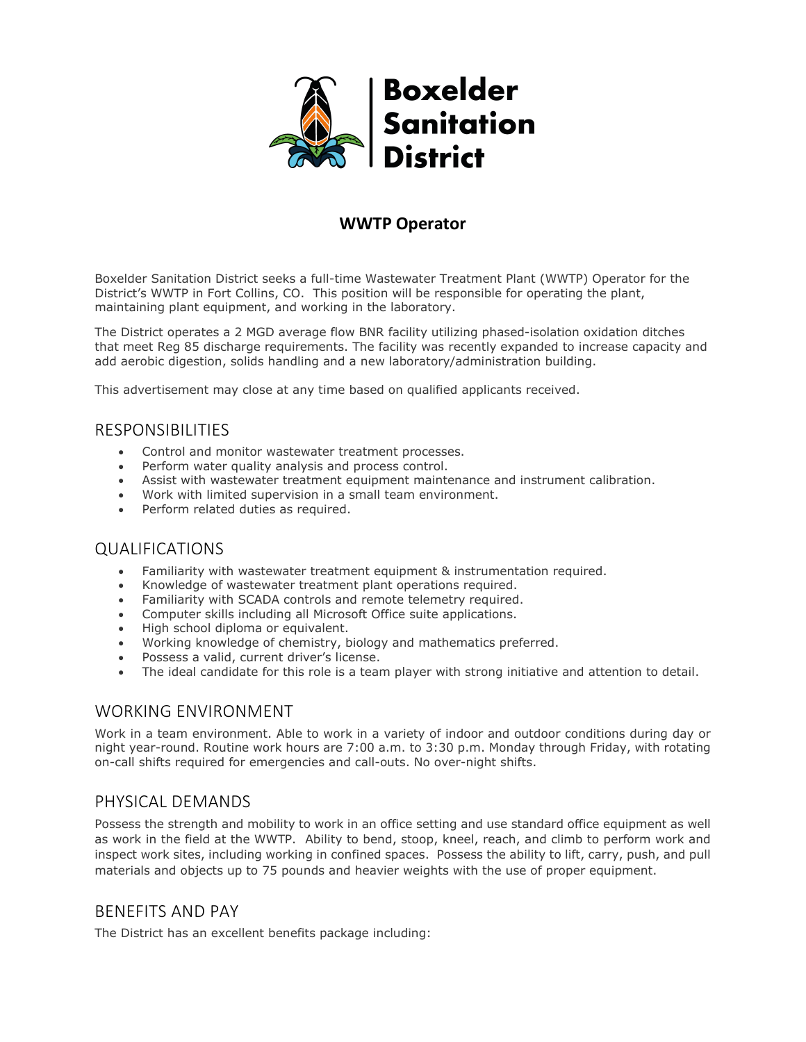

# **WWTP Operator**

Boxelder Sanitation District seeks a full-time Wastewater Treatment Plant (WWTP) Operator for the District's WWTP in Fort Collins, CO. This position will be responsible for operating the plant, maintaining plant equipment, and working in the laboratory.

The District operates a 2 MGD average flow BNR facility utilizing phased-isolation oxidation ditches that meet Reg 85 discharge requirements. The facility was recently expanded to increase capacity and add aerobic digestion, solids handling and a new laboratory/administration building.

This advertisement may close at any time based on qualified applicants received.

#### RESPONSIBILITIES

- Control and monitor wastewater treatment processes.
- Perform water quality analysis and process control.
- Assist with wastewater treatment equipment maintenance and instrument calibration.
- Work with limited supervision in a small team environment.
- Perform related duties as required.

#### QUALIFICATIONS

- Familiarity with wastewater treatment equipment & instrumentation required.
- Knowledge of wastewater treatment plant operations required.
- Familiarity with SCADA controls and remote telemetry required.
- Computer skills including all Microsoft Office suite applications.
- High school diploma or equivalent.
- Working knowledge of chemistry, biology and mathematics preferred.
- Possess a valid, current driver's license.
- The ideal candidate for this role is a team player with strong initiative and attention to detail.

#### WORKING ENVIRONMENT

Work in a team environment. Able to work in a variety of indoor and outdoor conditions during day or night year-round. Routine work hours are 7:00 a.m. to 3:30 p.m. Monday through Friday, with rotating on-call shifts required for emergencies and call-outs. No over-night shifts.

#### PHYSICAL DEMANDS

Possess the strength and mobility to work in an office setting and use standard office equipment as well as work in the field at the WWTP. Ability to bend, stoop, kneel, reach, and climb to perform work and inspect work sites, including working in confined spaces. Possess the ability to lift, carry, push, and pull materials and objects up to 75 pounds and heavier weights with the use of proper equipment.

## BENEFITS AND PAY

The District has an excellent benefits package including: